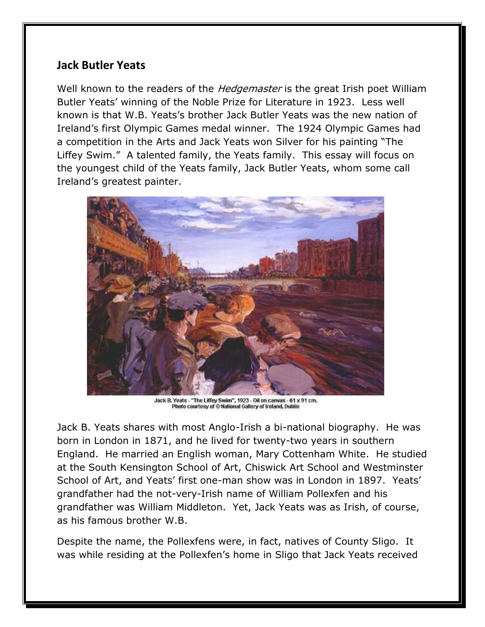## **Jack Butler Yeats**

Well known to the readers of the *Hedgemaster* is the great Irish poet William Butler Yeats' winning of the Noble Prize for Literature in 1923. Less well known is that W.B. Yeats's brother Jack Butler Yeats was the new nation of Ireland's first Olympic Games medal winner. The 1924 Olympic Games had a competition in the Arts and Jack Yeats won Silver for his painting "The Liffey Swim." A talented family, the Yeats family. This essay will focus on the youngest child of the Yeats family, Jack Butler Yeats, whom some call Ireland's greatest painter.



Jack B. Yeats - "The Liffey Swim", 1923 - Oil on canvas - 61 x 91 cm.<br>Photo courtesy of © National Gallery of Ireland, Dublin

Jack B. Yeats shares with most Anglo-Irish a bi-national biography. He was born in London in 1871, and he lived for twenty-two years in southern England. He married an English woman, Mary Cottenham White. He studied at the South Kensington School of Art, Chiswick Art School and Westminster School of Art, and Yeats' first one-man show was in London in 1897. Yeats' grandfather had the not-very-Irish name of William Pollexfen and his grandfather was William Middleton. Yet, Jack Yeats was as Irish, of course, as his famous brother W.B.

Despite the name, the Pollexfens were, in fact, natives of County Sligo. It was while residing at the Pollexfen's home in Sligo that Jack Yeats received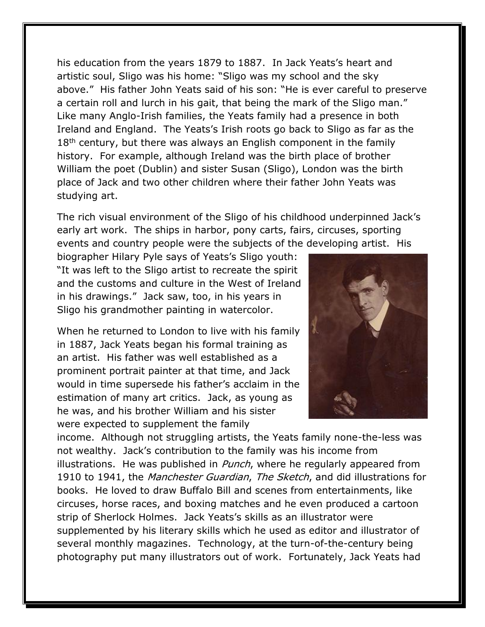his education from the years 1879 to 1887. In Jack Yeats's heart and artistic soul, Sligo was his home: "Sligo was my school and the sky above." His father John Yeats said of his son: "He is ever careful to preserve a certain roll and lurch in his gait, that being the mark of the Sligo man." Like many Anglo-Irish families, the Yeats family had a presence in both Ireland and England. The Yeats's Irish roots go back to Sligo as far as the 18<sup>th</sup> century, but there was always an English component in the family history. For example, although Ireland was the birth place of brother William the poet (Dublin) and sister Susan (Sligo), London was the birth place of Jack and two other children where their father John Yeats was studying art.

The rich visual environment of the Sligo of his childhood underpinned Jack's early art work. The ships in harbor, pony carts, fairs, circuses, sporting events and country people were the subjects of the developing artist. His

biographer Hilary Pyle says of Yeats's Sligo youth: "It was left to the Sligo artist to recreate the spirit and the customs and culture in the West of Ireland in his drawings." Jack saw, too, in his years in Sligo his grandmother painting in watercolor.

When he returned to London to live with his family in 1887, Jack Yeats began his formal training as an artist. His father was well established as a prominent portrait painter at that time, and Jack would in time supersede his father's acclaim in the estimation of many art critics. Jack, as young as he was, and his brother William and his sister were expected to supplement the family



income. Although not struggling artists, the Yeats family none-the-less was not wealthy. Jack's contribution to the family was his income from illustrations. He was published in *Punch*, where he regularly appeared from 1910 to 1941, the Manchester Guardian, The Sketch, and did illustrations for books. He loved to draw Buffalo Bill and scenes from entertainments, like circuses, horse races, and boxing matches and he even produced a cartoon strip of Sherlock Holmes. Jack Yeats's skills as an illustrator were supplemented by his literary skills which he used as editor and illustrator of several monthly magazines. Technology, at the turn-of-the-century being photography put many illustrators out of work. Fortunately, Jack Yeats had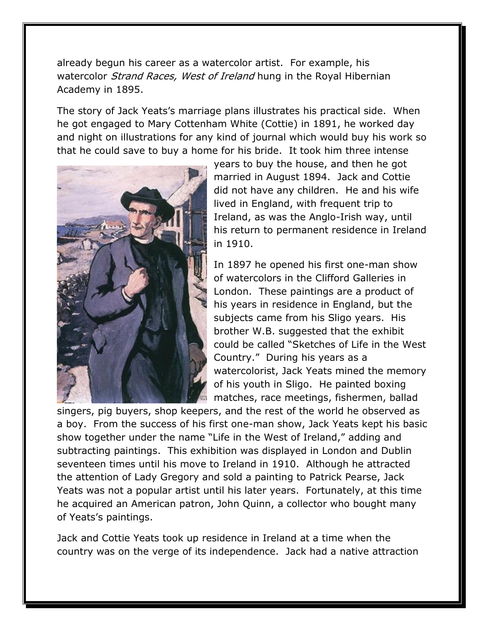already begun his career as a watercolor artist. For example, his watercolor *Strand Races, West of Ireland* hung in the Royal Hibernian Academy in 1895.

The story of Jack Yeats's marriage plans illustrates his practical side. When he got engaged to Mary Cottenham White (Cottie) in 1891, he worked day and night on illustrations for any kind of journal which would buy his work so that he could save to buy a home for his bride. It took him three intense



years to buy the house, and then he got married in August 1894. Jack and Cottie did not have any children. He and his wife lived in England, with frequent trip to Ireland, as was the Anglo-Irish way, until his return to permanent residence in Ireland in 1910.

In 1897 he opened his first one-man show of watercolors in the Clifford Galleries in London. These paintings are a product of his years in residence in England, but the subjects came from his Sligo years. His brother W.B. suggested that the exhibit could be called "Sketches of Life in the West Country." During his years as a watercolorist, Jack Yeats mined the memory of his youth in Sligo. He painted boxing matches, race meetings, fishermen, ballad

singers, pig buyers, shop keepers, and the rest of the world he observed as a boy. From the success of his first one-man show, Jack Yeats kept his basic show together under the name "Life in the West of Ireland," adding and subtracting paintings. This exhibition was displayed in London and Dublin seventeen times until his move to Ireland in 1910. Although he attracted the attention of Lady Gregory and sold a painting to Patrick Pearse, Jack Yeats was not a popular artist until his later years. Fortunately, at this time he acquired an American patron, John Quinn, a collector who bought many of Yeats's paintings.

Jack and Cottie Yeats took up residence in Ireland at a time when the country was on the verge of its independence. Jack had a native attraction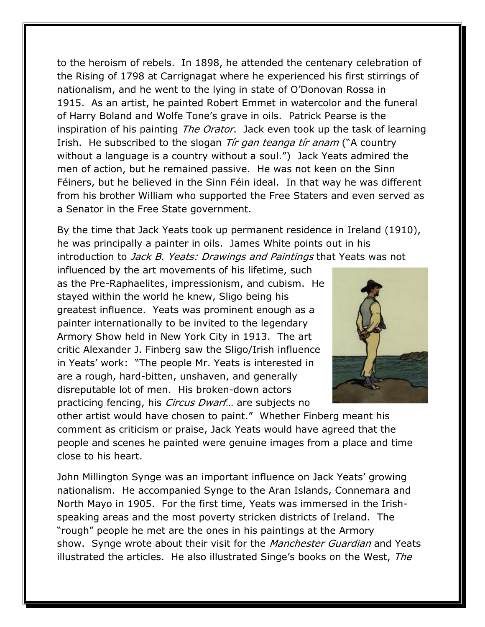to the heroism of rebels. In 1898, he attended the centenary celebration of the Rising of 1798 at Carrignagat where he experienced his first stirrings of nationalism, and he went to the lying in state of O'Donovan Rossa in 1915. As an artist, he painted Robert Emmet in watercolor and the funeral of Harry Boland and Wolfe Tone's grave in oils. Patrick Pearse is the inspiration of his painting The Orator. Jack even took up the task of learning Irish. He subscribed to the slogan *Tir gan teanga tir anam* ("A country without a language is a country without a soul.") Jack Yeats admired the men of action, but he remained passive. He was not keen on the Sinn Féiners, but he believed in the Sinn Féin ideal. In that way he was different from his brother William who supported the Free Staters and even served as a Senator in the Free State government.

By the time that Jack Yeats took up permanent residence in Ireland (1910), he was principally a painter in oils. James White points out in his introduction to Jack B. Yeats: Drawings and Paintings that Yeats was not

influenced by the art movements of his lifetime, such as the Pre-Raphaelites, impressionism, and cubism. He stayed within the world he knew, Sligo being his greatest influence. Yeats was prominent enough as a painter internationally to be invited to the legendary Armory Show held in New York City in 1913. The art critic Alexander J. Finberg saw the Sligo/Irish influence in Yeats' work: "The people Mr. Yeats is interested in are a rough, hard-bitten, unshaven, and generally disreputable lot of men. His broken-down actors practicing fencing, his *Circus Dwarf*... are subjects no



other artist would have chosen to paint." Whether Finberg meant his comment as criticism or praise, Jack Yeats would have agreed that the people and scenes he painted were genuine images from a place and time close to his heart.

John Millington Synge was an important influence on Jack Yeats' growing nationalism. He accompanied Synge to the Aran Islands, Connemara and North Mayo in 1905. For the first time, Yeats was immersed in the Irishspeaking areas and the most poverty stricken districts of Ireland. The "rough" people he met are the ones in his paintings at the Armory show. Synge wrote about their visit for the Manchester Guardian and Yeats illustrated the articles. He also illustrated Singe's books on the West, The